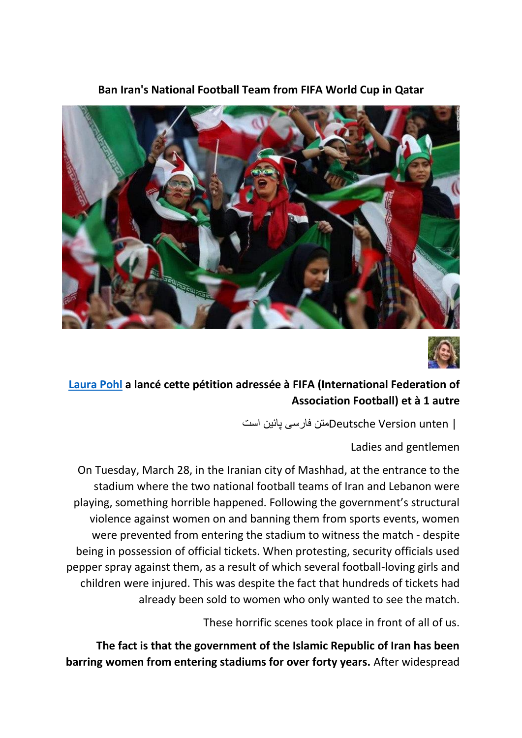

**Ban Iran's National Football Team from FIFA World Cup in Qatar**



## **[Laura Pohl](https://www.change.org/u/1183409580) a lancé cette pétition adressée à FIFA (International Federation of Association Football) et à 1 autre**

| unten Version Deutscheمتن فارسی پائین است

Ladies and gentlemen

On Tuesday, March 28, in the Iranian city of Mashhad, at the entrance to the stadium where the two national football teams of Iran and Lebanon were playing, something horrible happened. Following the government's structural violence against women on and banning them from sports events, women were prevented from entering the stadium to witness the match - despite being in possession of official tickets. When protesting, security officials used pepper spray against them, as a result of which several football-loving girls and children were injured. This was despite the fact that hundreds of tickets had already been sold to women who only wanted to see the match.

These horrific scenes took place in front of all of us.

**The fact is that the government of the Islamic Republic of Iran has been barring women from entering stadiums for over forty years.** After widespread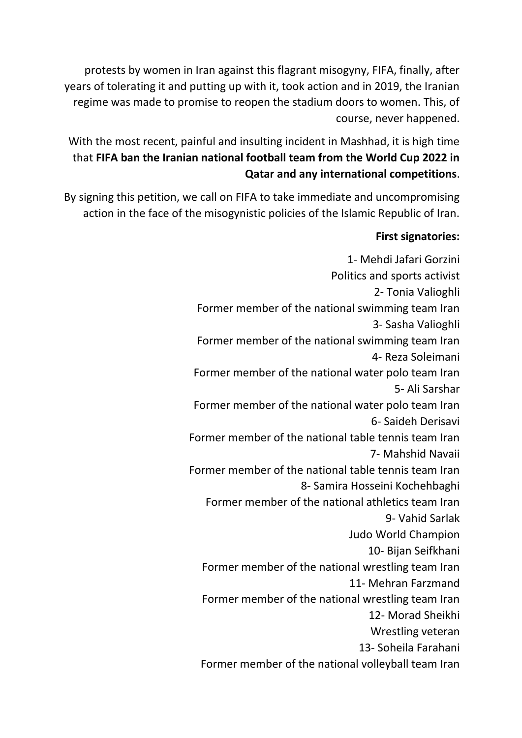protests by women in Iran against this flagrant misogyny, FIFA, finally, after years of tolerating it and putting up with it, took action and in 2019, the Iranian regime was made to promise to reopen the stadium doors to women. This, of course, never happened.

With the most recent, painful and insulting incident in Mashhad, it is high time that **FIFA ban the Iranian national football team from the World Cup 2022 in Qatar and any international competitions**.

By signing this petition, we call on FIFA to take immediate and uncompromising action in the face of the misogynistic policies of the Islamic Republic of Iran.

## **First signatories:**

1- Mehdi Jafari Gorzini Politics and sports activist 2- Tonia Valioghli Former member of the national swimming team Iran 3- Sasha Valioghli Former member of the national swimming team Iran 4- Reza Soleimani Former member of the national water polo team Iran 5- Ali Sarshar Former member of the national water polo team Iran 6- Saideh Derisavi Former member of the national table tennis team Iran 7- Mahshid Navaii Former member of the national table tennis team Iran 8- Samira Hosseini Kochehbaghi Former member of the national athletics team Iran 9- Vahid Sarlak Judo World Champion 10- Bijan Seifkhani Former member of the national wrestling team Iran 11- Mehran Farzmand Former member of the national wrestling team Iran 12- Morad Sheikhi Wrestling veteran 13- Soheila Farahani Former member of the national volleyball team Iran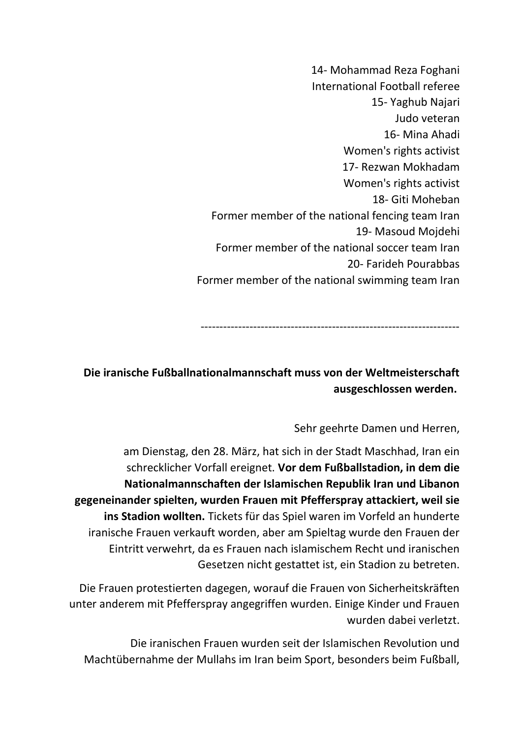14- Mohammad Reza Foghani International Football referee 15- Yaghub Najari Judo veteran 16- Mina Ahadi Women's rights activist 17- Rezwan Mokhadam Women's rights activist 18- Giti Moheban Former member of the national fencing team Iran 19- Masoud Mojdehi Former member of the national soccer team Iran 20- Farideh Pourabbas Former member of the national swimming team Iran

---------------------------------------------------------------------

## **Die iranische Fußballnationalmannschaft muss von der Weltmeisterschaft ausgeschlossen werden.**

## Sehr geehrte Damen und Herren,

am Dienstag, den 28. März, hat sich in der Stadt Maschhad, Iran ein schrecklicher Vorfall ereignet. **Vor dem Fußballstadion, in dem die Nationalmannschaften der Islamischen Republik Iran und Libanon gegeneinander spielten, wurden Frauen mit Pfefferspray attackiert, weil sie ins Stadion wollten.** Tickets für das Spiel waren im Vorfeld an hunderte iranische Frauen verkauft worden, aber am Spieltag wurde den Frauen der Eintritt verwehrt, da es Frauen nach islamischem Recht und iranischen Gesetzen nicht gestattet ist, ein Stadion zu betreten.

Die Frauen protestierten dagegen, worauf die Frauen von Sicherheitskräften unter anderem mit Pfefferspray angegriffen wurden. Einige Kinder und Frauen wurden dabei verletzt.

Die iranischen Frauen wurden seit der Islamischen Revolution und Machtübernahme der Mullahs im Iran beim Sport, besonders beim Fußball,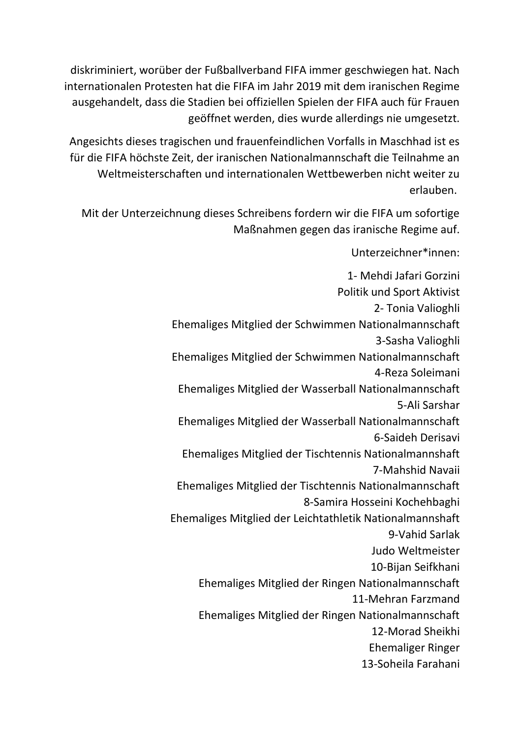diskriminiert, worüber der Fußballverband FIFA immer geschwiegen hat. Nach internationalen Protesten hat die FIFA im Jahr 2019 mit dem iranischen Regime ausgehandelt, dass die Stadien bei offiziellen Spielen der FIFA auch für Frauen geöffnet werden, dies wurde allerdings nie umgesetzt.

Angesichts dieses tragischen und frauenfeindlichen Vorfalls in Maschhad ist es für die FIFA höchste Zeit, der iranischen Nationalmannschaft die Teilnahme an Weltmeisterschaften und internationalen Wettbewerben nicht weiter zu erlauben.

Mit der Unterzeichnung dieses Schreibens fordern wir die FIFA um sofortige Maßnahmen gegen das iranische Regime auf.

> Unterzeichner\*innen: 1- Mehdi Jafari Gorzini Politik und Sport Aktivist 2- Tonia Valioghli Ehemaliges Mitglied der Schwimmen Nationalmannschaft 3-Sasha Valioghli Ehemaliges Mitglied der Schwimmen Nationalmannschaft 4-Reza Soleimani Ehemaliges Mitglied der Wasserball Nationalmannschaft 5-Ali Sarshar Ehemaliges Mitglied der Wasserball Nationalmannschaft 6-Saideh Derisavi Ehemaliges Mitglied der Tischtennis Nationalmannshaft 7-Mahshid Navaii Ehemaliges Mitglied der Tischtennis Nationalmannschaft 8-Samira Hosseini Kochehbaghi Ehemaliges Mitglied der Leichtathletik Nationalmannshaft 9-Vahid Sarlak Judo Weltmeister 10-Bijan Seifkhani Ehemaliges Mitglied der Ringen Nationalmannschaft 11-Mehran Farzmand Ehemaliges Mitglied der Ringen Nationalmannschaft 12-Morad Sheikhi Ehemaliger Ringer 13-Soheila Farahani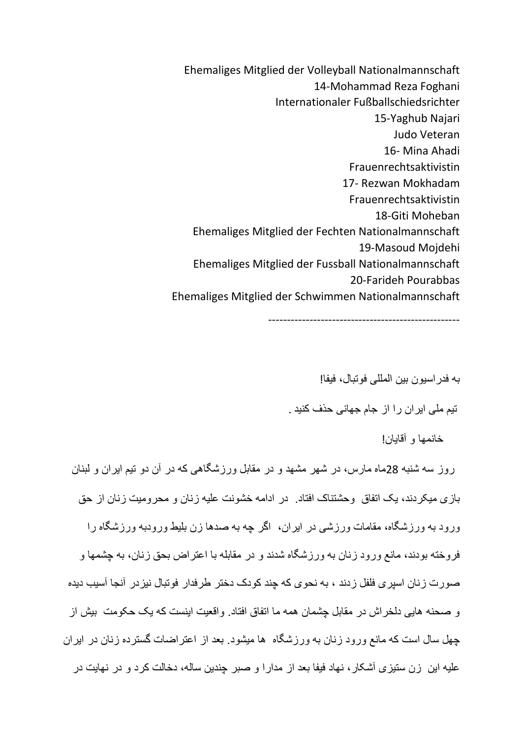Ehemaliges Mitglied der Volleyball Nationalmannschaft 14-Mohammad Reza Foghani Internationaler Fußballschiedsrichter 15-Yaghub Najari Judo Veteran 16- Mina Ahadi Frauenrechtsaktivistin 17- Rezwan Mokhadam Frauenrechtsaktivistin 18-Giti Moheban Ehemaliges Mitglied der Fechten Nationalmannschaft 19-Masoud Mojdehi Ehemaliges Mitglied der Fussball Nationalmannschaft 20-Farideh Pourabbas Ehemaliges Mitglied der Schwimmen Nationalmannschaft

---------------------------------------------------

به فدراسیون بین المللی فوتبال، فیفا! تیم ملی ایران را از جام جهانی حذف کنید .

خانمها و آقایان!

روز سه شنبه 28ماه مارس، در شهر مشهد و در مقابل ورزشگاهی که در آن دو تیم ایران و لبنان بازی میکردند، یک اتفاق وحشتناک افتاد. در ادامه خشونت علیه زنان و محرومیت زنان از حق ورود به ورزشگاه، مقامات ورزشی در ایران، اگر چه به صدها زن بلیط ورودبه ورزشگاه را فروخته بودند، مانع ورود زنان به ورزشگاه شدند و در مقابله با اعتراض بحق زنان، به چشمها و صورت زنان اسپری فلفل زدند ، به نحوی که چند کودک دختر طرفدار فوتبال نیزدر آنجا آسیب دیده و صحنه هایی دلخراش در مقابل چشمان همه ما اتفاق افتاد. واقعیت اینست که یک حکومت بیش از چهل سال است که مانع ورود زنان به ورزشگاه ها میشود. بعد از اعتراضات گسترده زنان در ایران علیه این زن ستیزی آشکار، نهاد فیفا بعد از مدارا و صبر چندین ساله، دخالت کرد و در نهایت در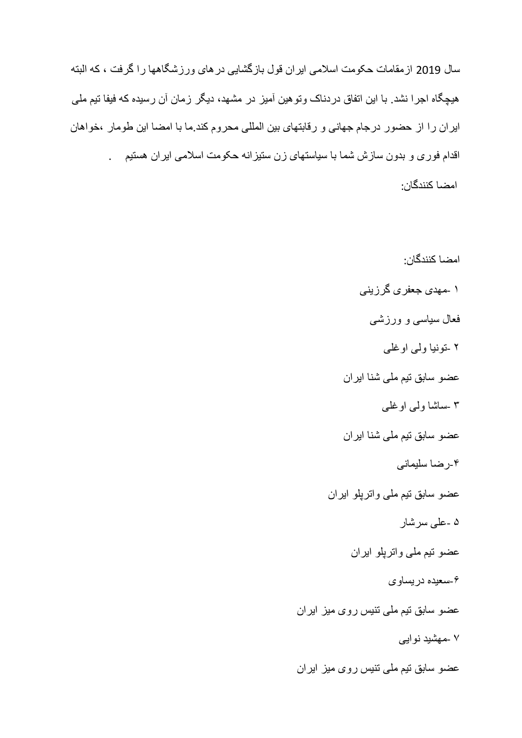سال 2019 ازمقامات حکومت اسالمی ایران قول بازگشایی درهای ورزشگاهها را گرفت ، که البته هیچگاه اجرا نشد. با این اتفاق دردناک وتوهین آمیز در مشهد، دیگر زمان آن رسیده که فیفا تیم ملی ایران را از حضور درجام جهانی و رقابتهای بین المللی محروم کند.ما با امضا این طومار ،خواهان اقدام فوری و بدون سازش شما با سیاستهای زن ستیزانه حکومت اسالمی ایران هستیم . امضا کنندگان:

> امضا کنندگان: ۱ -مهدی جعفری گرزینی فعال سیاسی و ورزشی ۲ -تونیا ولی اوغلی عضو سابق تیم ملی شنا ایران ۳ -ساشا ولی اوغلی عضو سابق تیم ملی شنا ایران -۴رضا سلیمانی عضو سابق تیم ملی واترپلو ایران ۵ -علی سرشار عضو تیم ملی واترپلو ایران -۶سعیده دریساوی عضو سابق تیم ملی تنیس روی میز ایران ۷ -مهشید نوایی عضو سابق تیم ملی تنیس روی میز ایران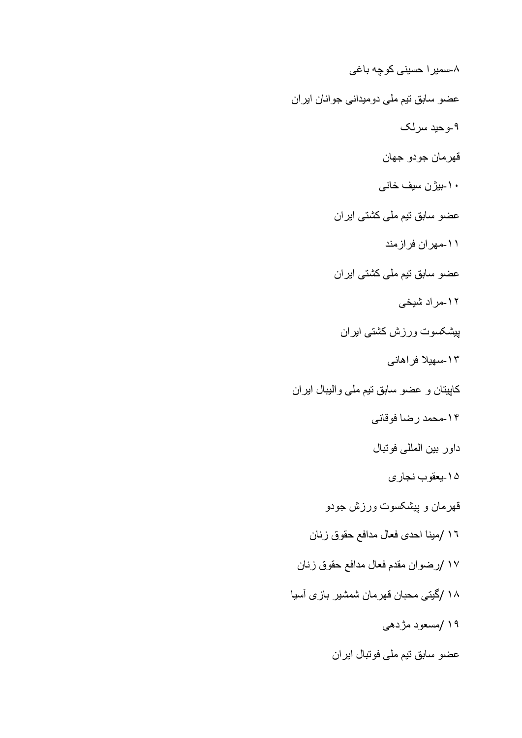-۸سمیرا حسینی کوچه باغی عضو سابق تیم ملی دومیدانی جوانان ایران -۹وحید سرلک قهرمان جودو جهان -۱۰بیژن سیف خانی عضو سابق تیم ملی کشتی ایران -۱۱مهران فرازمند عضو سابق تیم ملی کشتی ایران -۱۲مراد شیخی پیشکسوت ورزش کشتی ایران -۱۳سهیال فراهانی کاپیتان و عضو سابق تیم ملی والیبال ایران -۱۴محمد رضا فوقانی داور بین المللی فوتبال -۱۵یعقوب نجاری قهرمان و پیشکسوت ورزش جودو ۱٦ /مینا احدی فعال مدافع حقوق زنان ۱۷ /رضوان مقدم فعال مدافع حقوق زنان ۱۸ /گیتی محبان قهرمان شمشیر بازی آسیا ۱۹ /مسعود مژدهی عضو سابق تیم ملی فوتبال ایران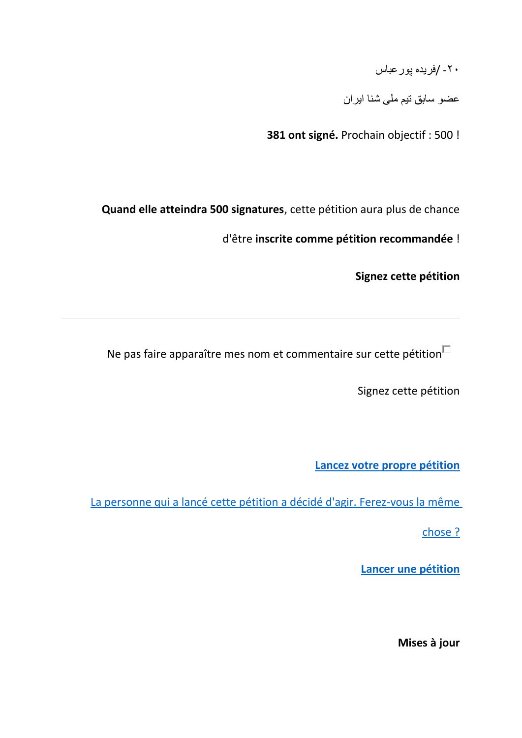-۲۰ /فریده پورعباس

عضو سابق تیم ملی شنا ایران

**381 ont signé.** Prochain objectif : 500 !

**Quand elle atteindra 500 signatures**, cette pétition aura plus de chance

d'être **inscrite comme pétition recommandée** !

**Signez cette pétition**

Ne pas faire apparaître mes nom et commentaire sur cette pétition $\Box$ 

Signez cette pétition

**[Lancez votre propre pétition](https://www.change.org/start-a-petition?source_location=petition_show)**

[La personne qui a lancé cette pétition a décidé d'agir. Ferez-vous la même](https://www.change.org/start-a-petition?source_location=petition_show) 

[chose ?](https://www.change.org/start-a-petition?source_location=petition_show)

**[Lancer une pétition](https://www.change.org/start-a-petition?source_location=petition_show)**

**Mises à jour**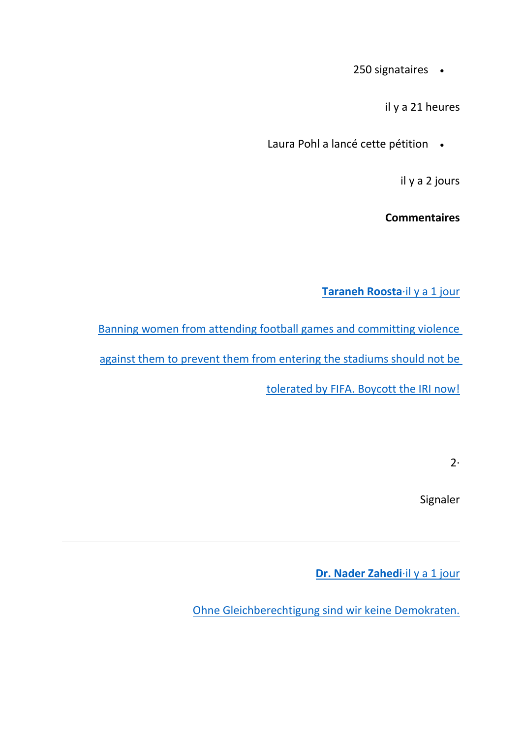250 signataires •

il y a 21 heures

Laura Pohl a lancé cette pétition •

il y a 2 jours

**Commentaires**

**[Taraneh Roosta](https://www.change.org/p/ban-iran-s-national-football-team-from-fifa-world-cup-in-qatar/c/831597249)**·il y a 1 jour

[Banning women from attending football games and committing violence](https://www.change.org/p/ban-iran-s-national-football-team-from-fifa-world-cup-in-qatar/c/831597249)  [against them to prevent them from entering](https://www.change.org/p/ban-iran-s-national-football-team-from-fifa-world-cup-in-qatar/c/831597249) the stadiums should not be [tolerated by FIFA. Boycott the IRI now!](https://www.change.org/p/ban-iran-s-national-football-team-from-fifa-world-cup-in-qatar/c/831597249)

2·

Signaler

**[Dr. Nader Zahedi](https://www.change.org/p/ban-iran-s-national-football-team-from-fifa-world-cup-in-qatar/c/831596924)**·il y a 1 jour

[Ohne Gleichberechtigung sind wir keine Demokraten.](https://www.change.org/p/ban-iran-s-national-football-team-from-fifa-world-cup-in-qatar/c/831596924)